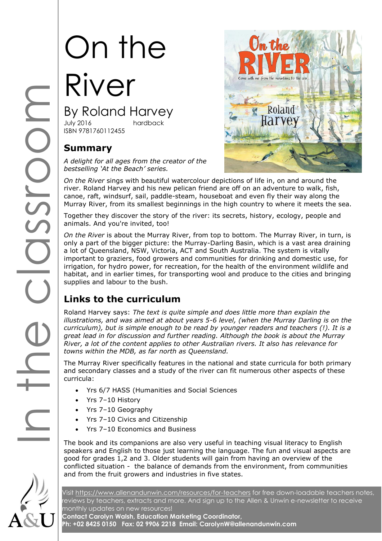# On the River By Roland Harvey

hardback ISBN 9781760112455

## **Summary**

*A delight for all ages from the creator of the bestselling 'At the Beach' series.*



INT<br>By Ro<br>By Ro<br>ISBN 9781<br>Summ<br>A delight<br>bestsellin<br>Don the R<br>Together<br>Together<br>animals.<br>On the R *On the River* sings with beautiful watercolour depictions of life in, on and around the river. Roland Harvey and his new pelican friend are off on an adventure to walk, fish, canoe, raft, windsurf, sail, paddle-steam, houseboat and even fly their way along the Murray River, from its smallest beginnings in the high country to where it meets the sea.

Together they discover the story of the river: its secrets, history, ecology, people and animals. And you're invited, too!

*On the River* is about the Murray River, from top to bottom. The Murray River, in turn, is only a part of the bigger picture: the Murray-Darling Basin, which is a vast area draining a lot of Queensland, NSW, Victoria, ACT and South Australia. The system is vitally important to graziers, food growers and communities for drinking and domestic use, for irrigation, for hydro power, for recreation, for the health of the environment wildlife and habitat, and in earlier times, for transporting wool and produce to the cities and bringing supplies and labour to the bush.

# **Links to the curriculum**

Roland Harvey says: *The text is quite simple and does little more than explain the illustrations, and was aimed at about years 5-6 level, (when the Murray Darling is on the curriculum), but is simple enough to be read by younger readers and teachers (!). It is a great lead in for discussion and further reading. Although the book is about the Murray River, a lot of the content applies to other Australian rivers. It also has relevance for towns within the MDB, as far north as Queensland.*

The Murray River specifically features in the national and state curricula for both primary and secondary classes and a study of the river can fit numerous other aspects of these curricula:

- Yrs 6/7 HASS (Humanities and Social Sciences
- Yrs 7–10 History
- Yrs 7–10 Geography
- Yrs 7–10 Civics and Citizenship
- Yrs 7–10 Economics and Business

The book and its companions are also very useful in teaching visual literacy to English speakers and English to those just learning the language. The fun and visual aspects are good for grades 1,2 and 3. Older students will gain from having an overview of the conflicted situation - the balance of demands from the environment, from communities and from the fruit growers and industries in five states.



Visit<https://www.allenandunwin.com/resources/for-teachers> for free down-loadable teachers notes, reviews by teachers, extracts and more. And sign up to the Allen & Unwin e-newsletter to receive monthly updates on new resources! **Contact Carolyn Walsh, Education Marketing Coordinator,** 

**Ph: +02 8425 0150 Fax: 02 9906 2218 Email: CarolynW@allenandunwin.com**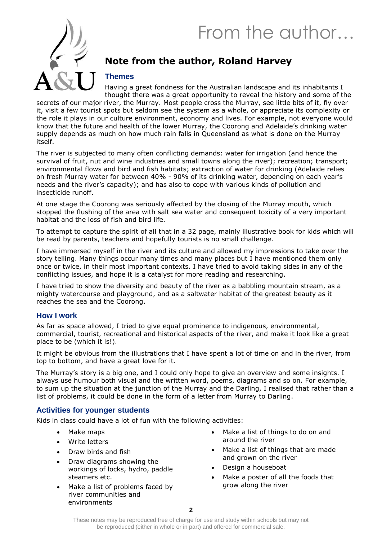# From the author…



## **Note from the author, Roland Harvey**

#### **Themes**

Having a great fondness for the Australian landscape and its inhabitants I thought there was a great opportunity to reveal the history and some of the

secrets of our major river, the Murray. Most people cross the Murray, see little bits of it, fly over it, visit a few tourist spots but seldom see the system as a whole, or appreciate its complexity or the role it plays in our culture environment, economy and lives. For example, not everyone would know that the future and health of the lower Murray, the Coorong and Adelaide's drinking water supply depends as much on how much rain falls in Queensland as what is done on the Murray itself.

The river is subjected to many often conflicting demands: water for irrigation (and hence the survival of fruit, nut and wine industries and small towns along the river); recreation; transport; environmental flows and bird and fish habitats; extraction of water for drinking (Adelaide relies on fresh Murray water for between 40% - 90% of its drinking water, depending on each year's needs and the river's capacity); and has also to cope with various kinds of pollution and insecticide runoff.

At one stage the Coorong was seriously affected by the closing of the Murray mouth, which stopped the flushing of the area with salt sea water and consequent toxicity of a very important habitat and the loss of fish and bird life.

To attempt to capture the spirit of all that in a 32 page, mainly illustrative book for kids which will be read by parents, teachers and hopefully tourists is no small challenge.

I have immersed myself in the river and its culture and allowed my impressions to take over the story telling. Many things occur many times and many places but I have mentioned them only once or twice, in their most important contexts. I have tried to avoid taking sides in any of the conflicting issues, and hope it is a catalyst for more reading and researching.

I have tried to show the diversity and beauty of the river as a babbling mountain stream, as a mighty watercourse and playground, and as a saltwater habitat of the greatest beauty as it reaches the sea and the Coorong.

#### **How I work**

As far as space allowed, I tried to give equal prominence to indigenous, environmental, commercial, tourist, recreational and historical aspects of the river, and make it look like a great place to be (which it is!).

It might be obvious from the illustrations that I have spent a lot of time on and in the river, from top to bottom, and have a great love for it.

The Murray's story is a big one, and I could only hope to give an overview and some insights. I always use humour both visual and the written word, poems, diagrams and so on. For example, to sum up the situation at the junction of the Murray and the Darling, I realised that rather than a list of problems, it could be done in the form of a letter from Murray to Darling.

#### **Activities for younger students**

Kids in class could have a lot of fun with the following activities:

- Make maps
- Write letters
- Draw birds and fish
- Draw diagrams showing the workings of locks, hydro, paddle steamers etc.
- Make a list of problems faced by river communities and environments
- Make a list of things to do on and around the river
- Make a list of things that are made and grown on the river
- Design a houseboat
- Make a poster of all the foods that grow along the river

**2**